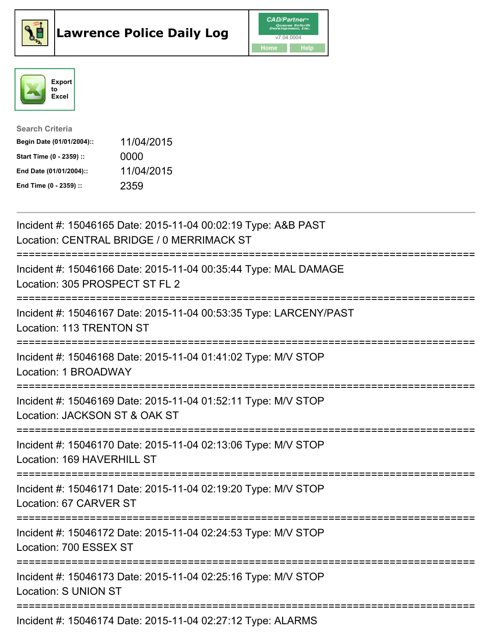





| <b>Search Criteria</b>    |            |
|---------------------------|------------|
| Begin Date (01/01/2004):: | 11/04/2015 |
| Start Time (0 - 2359) ::  | 0000       |
| End Date (01/01/2004)::   | 11/04/2015 |
| End Time (0 - 2359) ::    | 2359       |

| Incident #: 15046165 Date: 2015-11-04 00:02:19 Type: A&B PAST<br>Location: CENTRAL BRIDGE / 0 MERRIMACK ST                              |
|-----------------------------------------------------------------------------------------------------------------------------------------|
| Incident #: 15046166 Date: 2015-11-04 00:35:44 Type: MAL DAMAGE<br>Location: 305 PROSPECT ST FL 2                                       |
| Incident #: 15046167 Date: 2015-11-04 00:53:35 Type: LARCENY/PAST<br>Location: 113 TRENTON ST<br>====================================== |
| Incident #: 15046168 Date: 2015-11-04 01:41:02 Type: M/V STOP<br>Location: 1 BROADWAY                                                   |
| Incident #: 15046169 Date: 2015-11-04 01:52:11 Type: M/V STOP<br>Location: JACKSON ST & OAK ST                                          |
| Incident #: 15046170 Date: 2015-11-04 02:13:06 Type: M/V STOP<br>Location: 169 HAVERHILL ST                                             |
| Incident #: 15046171 Date: 2015-11-04 02:19:20 Type: M/V STOP<br>Location: 67 CARVER ST<br>======================================       |
| Incident #: 15046172 Date: 2015-11-04 02:24:53 Type: M/V STOP<br>Location: 700 ESSEX ST                                                 |
| Incident #: 15046173 Date: 2015-11-04 02:25:16 Type: M/V STOP<br><b>Location: S UNION ST</b>                                            |
| $Indient # 4E04E474 Det 2016 304E 440403.27.42 True. A LADMC$                                                                           |

Incident #: 15046174 Date: 2015-11-04 02:27:12 Type: ALARMS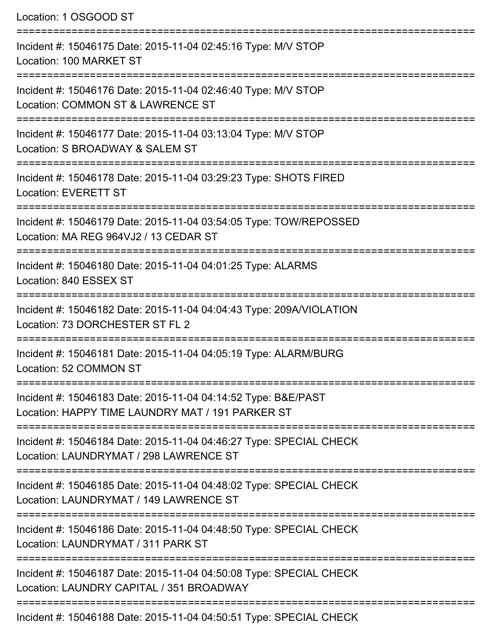Location: 1 OSGOOD ST =========================================================================== Incident #: 15046175 Date: 2015-11-04 02:45:16 Type: M/V STOP Location: 100 MARKET ST =========================================================================== Incident #: 15046176 Date: 2015-11-04 02:46:40 Type: M/V STOP Location: COMMON ST & LAWRENCE ST =========================================================================== Incident #: 15046177 Date: 2015-11-04 03:13:04 Type: M/V STOP Location: S BROADWAY & SALEM ST =========================================================================== Incident #: 15046178 Date: 2015-11-04 03:29:23 Type: SHOTS FIRED Location: EVERETT ST =========================================================================== Incident #: 15046179 Date: 2015-11-04 03:54:05 Type: TOW/REPOSSED Location: MA REG 964VJ2 / 13 CEDAR ST =========================================================================== Incident #: 15046180 Date: 2015-11-04 04:01:25 Type: ALARMS Location: 840 ESSEX ST =========================================================================== Incident #: 15046182 Date: 2015-11-04 04:04:43 Type: 209A/VIOLATION Location: 73 DORCHESTER ST FL 2 =========================================================================== Incident #: 15046181 Date: 2015-11-04 04:05:19 Type: ALARM/BURG Location: 52 COMMON ST =========================================================================== Incident #: 15046183 Date: 2015-11-04 04:14:52 Type: B&E/PAST Location: HAPPY TIME LAUNDRY MAT / 191 PARKER ST =========================================================================== Incident #: 15046184 Date: 2015-11-04 04:46:27 Type: SPECIAL CHECK Location: LAUNDRYMAT / 298 LAWRENCE ST =========================================================================== Incident #: 15046185 Date: 2015-11-04 04:48:02 Type: SPECIAL CHECK Location: LAUNDRYMAT / 149 LAWRENCE ST =========================================================================== Incident #: 15046186 Date: 2015-11-04 04:48:50 Type: SPECIAL CHECK Location: LAUNDRYMAT / 311 PARK ST =========================================================================== Incident #: 15046187 Date: 2015-11-04 04:50:08 Type: SPECIAL CHECK Location: LAUNDRY CAPITAL / 351 BROADWAY =========================================================================== Incident #: 15046188 Date: 2015-11-04 04:50:51 Type: SPECIAL CHECK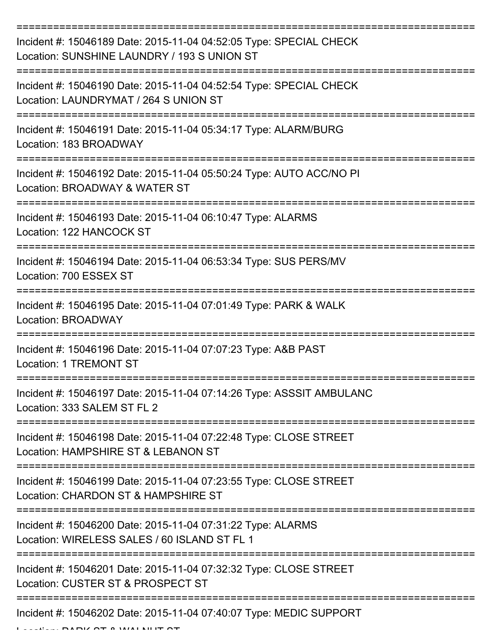| Incident #: 15046189 Date: 2015-11-04 04:52:05 Type: SPECIAL CHECK<br>Location: SUNSHINE LAUNDRY / 193 S UNION ST                 |
|-----------------------------------------------------------------------------------------------------------------------------------|
| Incident #: 15046190 Date: 2015-11-04 04:52:54 Type: SPECIAL CHECK<br>Location: LAUNDRYMAT / 264 S UNION ST                       |
| Incident #: 15046191 Date: 2015-11-04 05:34:17 Type: ALARM/BURG<br>Location: 183 BROADWAY<br>==================================== |
| Incident #: 15046192 Date: 2015-11-04 05:50:24 Type: AUTO ACC/NO PI<br>Location: BROADWAY & WATER ST                              |
| Incident #: 15046193 Date: 2015-11-04 06:10:47 Type: ALARMS<br>Location: 122 HANCOCK ST                                           |
| Incident #: 15046194 Date: 2015-11-04 06:53:34 Type: SUS PERS/MV<br>Location: 700 ESSEX ST                                        |
| ===================<br>Incident #: 15046195 Date: 2015-11-04 07:01:49 Type: PARK & WALK<br>Location: BROADWAY                     |
| Incident #: 15046196 Date: 2015-11-04 07:07:23 Type: A&B PAST<br><b>Location: 1 TREMONT ST</b>                                    |
| Incident #: 15046197 Date: 2015-11-04 07:14:26 Type: ASSSIT AMBULANC<br>Location: 333 SALEM ST FL 2                               |
| Incident #: 15046198 Date: 2015-11-04 07:22:48 Type: CLOSE STREET<br>Location: HAMPSHIRE ST & LEBANON ST                          |
| Incident #: 15046199 Date: 2015-11-04 07:23:55 Type: CLOSE STREET<br>Location: CHARDON ST & HAMPSHIRE ST                          |
| Incident #: 15046200 Date: 2015-11-04 07:31:22 Type: ALARMS<br>Location: WIRELESS SALES / 60 ISLAND ST FL 1                       |
| Incident #: 15046201 Date: 2015-11-04 07:32:32 Type: CLOSE STREET<br>Location: CUSTER ST & PROSPECT ST                            |
| Incident #: 15046202 Date: 2015-11-04 07:40:07 Type: MEDIC SUPPORT                                                                |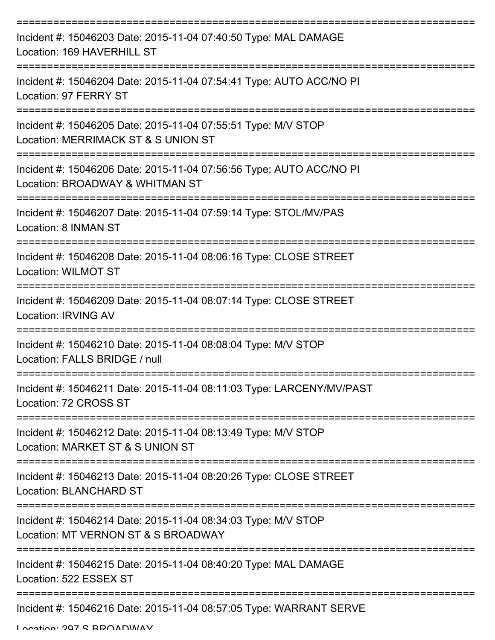| Incident #: 15046203 Date: 2015-11-04 07:40:50 Type: MAL DAMAGE<br>Location: 169 HAVERHILL ST          |
|--------------------------------------------------------------------------------------------------------|
| Incident #: 15046204 Date: 2015-11-04 07:54:41 Type: AUTO ACC/NO PI<br>Location: 97 FERRY ST           |
| Incident #: 15046205 Date: 2015-11-04 07:55:51 Type: M/V STOP<br>Location: MERRIMACK ST & S UNION ST   |
| Incident #: 15046206 Date: 2015-11-04 07:56:56 Type: AUTO ACC/NO PI<br>Location: BROADWAY & WHITMAN ST |
| Incident #: 15046207 Date: 2015-11-04 07:59:14 Type: STOL/MV/PAS<br>Location: 8 INMAN ST               |
| Incident #: 15046208 Date: 2015-11-04 08:06:16 Type: CLOSE STREET<br><b>Location: WILMOT ST</b>        |
| Incident #: 15046209 Date: 2015-11-04 08:07:14 Type: CLOSE STREET<br><b>Location: IRVING AV</b>        |
| Incident #: 15046210 Date: 2015-11-04 08:08:04 Type: M/V STOP<br>Location: FALLS BRIDGE / null         |
| Incident #: 15046211 Date: 2015-11-04 08:11:03 Type: LARCENY/MV/PAST<br>Location: 72 CROSS ST          |
| Incident #: 15046212 Date: 2015-11-04 08:13:49 Type: M/V STOP<br>Location: MARKET ST & S UNION ST      |
| Incident #: 15046213 Date: 2015-11-04 08:20:26 Type: CLOSE STREET<br>Location: BLANCHARD ST            |
| Incident #: 15046214 Date: 2015-11-04 08:34:03 Type: M/V STOP<br>Location: MT VERNON ST & S BROADWAY   |
| Incident #: 15046215 Date: 2015-11-04 08:40:20 Type: MAL DAMAGE<br>Location: 522 ESSEX ST              |
| Incident #: 15046216 Date: 2015-11-04 08:57:05 Type: WARRANT SERVE                                     |

Location: 207 S BBOADWAY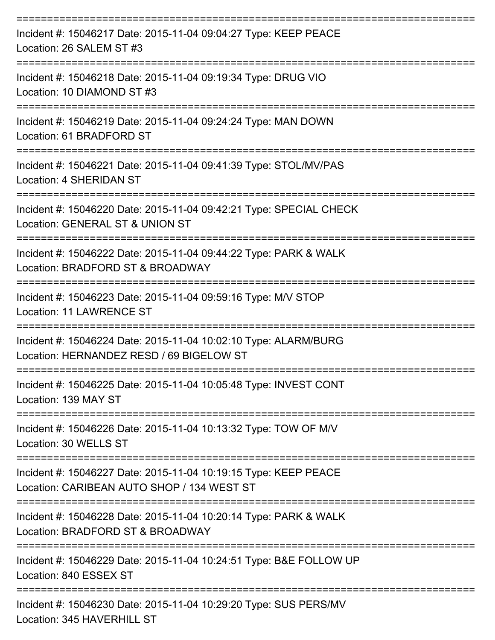| Incident #: 15046217 Date: 2015-11-04 09:04:27 Type: KEEP PEACE<br>Location: 26 SALEM ST #3                                     |
|---------------------------------------------------------------------------------------------------------------------------------|
| Incident #: 15046218 Date: 2015-11-04 09:19:34 Type: DRUG VIO<br>Location: 10 DIAMOND ST #3                                     |
| Incident #: 15046219 Date: 2015-11-04 09:24:24 Type: MAN DOWN<br>Location: 61 BRADFORD ST                                       |
| Incident #: 15046221 Date: 2015-11-04 09:41:39 Type: STOL/MV/PAS<br>Location: 4 SHERIDAN ST                                     |
| Incident #: 15046220 Date: 2015-11-04 09:42:21 Type: SPECIAL CHECK<br>Location: GENERAL ST & UNION ST                           |
| Incident #: 15046222 Date: 2015-11-04 09:44:22 Type: PARK & WALK<br>Location: BRADFORD ST & BROADWAY                            |
| Incident #: 15046223 Date: 2015-11-04 09:59:16 Type: M/V STOP<br><b>Location: 11 LAWRENCE ST</b>                                |
| Incident #: 15046224 Date: 2015-11-04 10:02:10 Type: ALARM/BURG<br>Location: HERNANDEZ RESD / 69 BIGELOW ST                     |
| Incident #: 15046225 Date: 2015-11-04 10:05:48 Type: INVEST CONT<br>Location: 139 MAY ST                                        |
| ===================================<br>Incident #: 15046226 Date: 2015-11-04 10:13:32 Type: TOW OF M/V<br>Location: 30 WELLS ST |
| Incident #: 15046227 Date: 2015-11-04 10:19:15 Type: KEEP PEACE<br>Location: CARIBEAN AUTO SHOP / 134 WEST ST                   |
| Incident #: 15046228 Date: 2015-11-04 10:20:14 Type: PARK & WALK<br>Location: BRADFORD ST & BROADWAY                            |
| Incident #: 15046229 Date: 2015-11-04 10:24:51 Type: B&E FOLLOW UP<br>Location: 840 ESSEX ST                                    |
| Incident #: 15046230 Date: 2015-11-04 10:29:20 Type: SUS PERS/MV<br>Location: 345 HAVERHILL ST                                  |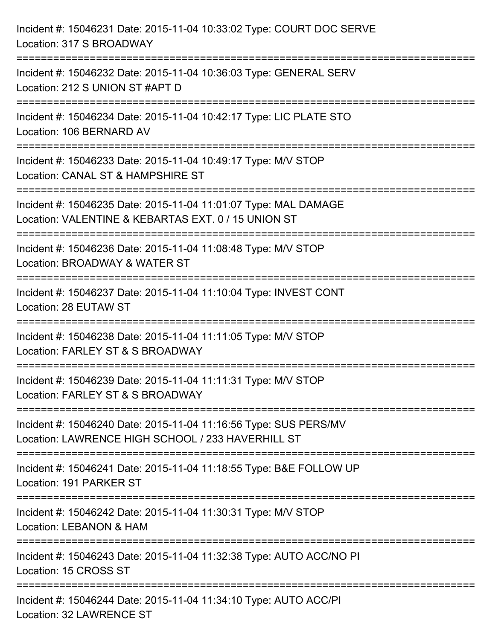| Incident #: 15046231 Date: 2015-11-04 10:33:02 Type: COURT DOC SERVE<br>Location: 317 S BROADWAY                                                                                                    |
|-----------------------------------------------------------------------------------------------------------------------------------------------------------------------------------------------------|
| =============================<br>Incident #: 15046232 Date: 2015-11-04 10:36:03 Type: GENERAL SERV<br>Location: 212 S UNION ST #APT D                                                               |
| Incident #: 15046234 Date: 2015-11-04 10:42:17 Type: LIC PLATE STO<br>Location: 106 BERNARD AV<br>=============================                                                                     |
| Incident #: 15046233 Date: 2015-11-04 10:49:17 Type: M/V STOP<br>Location: CANAL ST & HAMPSHIRE ST                                                                                                  |
| Incident #: 15046235 Date: 2015-11-04 11:01:07 Type: MAL DAMAGE<br>Location: VALENTINE & KEBARTAS EXT. 0 / 15 UNION ST<br>====================================<br>_________________________________ |
| Incident #: 15046236 Date: 2015-11-04 11:08:48 Type: M/V STOP<br>Location: BROADWAY & WATER ST                                                                                                      |
| Incident #: 15046237 Date: 2015-11-04 11:10:04 Type: INVEST CONT<br>Location: 28 EUTAW ST                                                                                                           |
| Incident #: 15046238 Date: 2015-11-04 11:11:05 Type: M/V STOP<br>Location: FARLEY ST & S BROADWAY                                                                                                   |
| Incident #: 15046239 Date: 2015-11-04 11:11:31 Type: M/V STOP<br>Location: FARLEY ST & S BROADWAY                                                                                                   |
| Incident #: 15046240 Date: 2015-11-04 11:16:56 Type: SUS PERS/MV<br>Location: LAWRENCE HIGH SCHOOL / 233 HAVERHILL ST                                                                               |
| Incident #: 15046241 Date: 2015-11-04 11:18:55 Type: B&E FOLLOW UP<br>Location: 191 PARKER ST                                                                                                       |
| Incident #: 15046242 Date: 2015-11-04 11:30:31 Type: M/V STOP<br>Location: LEBANON & HAM                                                                                                            |
| Incident #: 15046243 Date: 2015-11-04 11:32:38 Type: AUTO ACC/NO PI<br>Location: 15 CROSS ST                                                                                                        |
| Incident #: 15046244 Date: 2015-11-04 11:34:10 Type: AUTO ACC/PI<br>Location: 32 LAWRENCE ST                                                                                                        |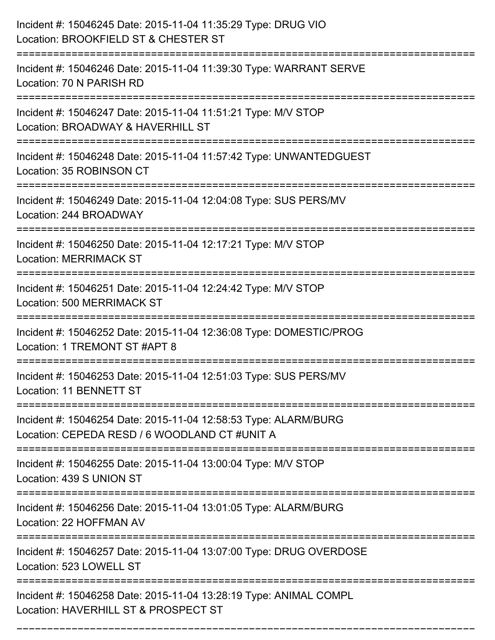| Incident #: 15046245 Date: 2015-11-04 11:35:29 Type: DRUG VIO<br>Location: BROOKFIELD ST & CHESTER ST            |
|------------------------------------------------------------------------------------------------------------------|
| Incident #: 15046246 Date: 2015-11-04 11:39:30 Type: WARRANT SERVE<br>Location: 70 N PARISH RD                   |
| Incident #: 15046247 Date: 2015-11-04 11:51:21 Type: M/V STOP<br>Location: BROADWAY & HAVERHILL ST               |
| Incident #: 15046248 Date: 2015-11-04 11:57:42 Type: UNWANTEDGUEST<br>Location: 35 ROBINSON CT                   |
| Incident #: 15046249 Date: 2015-11-04 12:04:08 Type: SUS PERS/MV<br>Location: 244 BROADWAY                       |
| Incident #: 15046250 Date: 2015-11-04 12:17:21 Type: M/V STOP<br><b>Location: MERRIMACK ST</b>                   |
| Incident #: 15046251 Date: 2015-11-04 12:24:42 Type: M/V STOP<br>Location: 500 MERRIMACK ST<br>================= |
| Incident #: 15046252 Date: 2015-11-04 12:36:08 Type: DOMESTIC/PROG<br>Location: 1 TREMONT ST #APT 8              |
| Incident #: 15046253 Date: 2015-11-04 12:51:03 Type: SUS PERS/MV<br>Location: 11 BENNETT ST                      |
| Incident #: 15046254 Date: 2015-11-04 12:58:53 Type: ALARM/BURG<br>Location: CEPEDA RESD / 6 WOODLAND CT #UNIT A |
| Incident #: 15046255 Date: 2015-11-04 13:00:04 Type: M/V STOP<br>Location: 439 S UNION ST                        |
| Incident #: 15046256 Date: 2015-11-04 13:01:05 Type: ALARM/BURG<br>Location: 22 HOFFMAN AV                       |
| Incident #: 15046257 Date: 2015-11-04 13:07:00 Type: DRUG OVERDOSE<br>Location: 523 LOWELL ST                    |
| Incident #: 15046258 Date: 2015-11-04 13:28:19 Type: ANIMAL COMPL<br>Location: HAVERHILL ST & PROSPECT ST        |

===========================================================================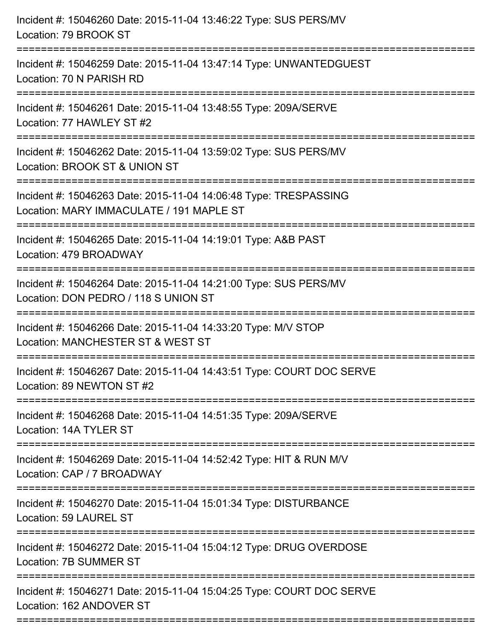| Incident #: 15046260 Date: 2015-11-04 13:46:22 Type: SUS PERS/MV<br>Location: 79 BROOK ST                                             |
|---------------------------------------------------------------------------------------------------------------------------------------|
| Incident #: 15046259 Date: 2015-11-04 13:47:14 Type: UNWANTEDGUEST<br>Location: 70 N PARISH RD                                        |
| Incident #: 15046261 Date: 2015-11-04 13:48:55 Type: 209A/SERVE<br>Location: 77 HAWLEY ST #2                                          |
| Incident #: 15046262 Date: 2015-11-04 13:59:02 Type: SUS PERS/MV<br>Location: BROOK ST & UNION ST                                     |
| Incident #: 15046263 Date: 2015-11-04 14:06:48 Type: TRESPASSING<br>Location: MARY IMMACULATE / 191 MAPLE ST<br>===================== |
| Incident #: 15046265 Date: 2015-11-04 14:19:01 Type: A&B PAST<br>Location: 479 BROADWAY                                               |
| Incident #: 15046264 Date: 2015-11-04 14:21:00 Type: SUS PERS/MV<br>Location: DON PEDRO / 118 S UNION ST                              |
| Incident #: 15046266 Date: 2015-11-04 14:33:20 Type: M/V STOP<br>Location: MANCHESTER ST & WEST ST                                    |
| Incident #: 15046267 Date: 2015-11-04 14:43:51 Type: COURT DOC SERVE<br>Location: 89 NEWTON ST #2                                     |
| Incident #: 15046268 Date: 2015-11-04 14:51:35 Type: 209A/SERVE<br>Location: 14A TYLER ST                                             |
| Incident #: 15046269 Date: 2015-11-04 14:52:42 Type: HIT & RUN M/V<br>Location: CAP / 7 BROADWAY                                      |
| Incident #: 15046270 Date: 2015-11-04 15:01:34 Type: DISTURBANCE<br>Location: 59 LAUREL ST                                            |
| Incident #: 15046272 Date: 2015-11-04 15:04:12 Type: DRUG OVERDOSE<br>Location: 7B SUMMER ST                                          |
| Incident #: 15046271 Date: 2015-11-04 15:04:25 Type: COURT DOC SERVE<br>Location: 162 ANDOVER ST                                      |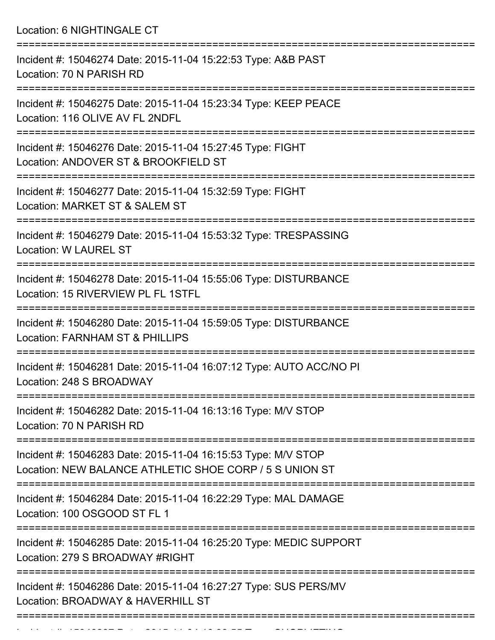Location: 6 NIGHTINGALE CT

| Incident #: 15046274 Date: 2015-11-04 15:22:53 Type: A&B PAST<br>Location: 70 N PARISH RD                                |
|--------------------------------------------------------------------------------------------------------------------------|
| Incident #: 15046275 Date: 2015-11-04 15:23:34 Type: KEEP PEACE<br>Location: 116 OLIVE AV FL 2NDFL                       |
| Incident #: 15046276 Date: 2015-11-04 15:27:45 Type: FIGHT<br>Location: ANDOVER ST & BROOKFIELD ST                       |
| Incident #: 15046277 Date: 2015-11-04 15:32:59 Type: FIGHT<br>Location: MARKET ST & SALEM ST                             |
| Incident #: 15046279 Date: 2015-11-04 15:53:32 Type: TRESPASSING<br>Location: W LAUREL ST                                |
| Incident #: 15046278 Date: 2015-11-04 15:55:06 Type: DISTURBANCE<br>Location: 15 RIVERVIEW PL FL 1STFL                   |
| Incident #: 15046280 Date: 2015-11-04 15:59:05 Type: DISTURBANCE<br><b>Location: FARNHAM ST &amp; PHILLIPS</b>           |
| Incident #: 15046281 Date: 2015-11-04 16:07:12 Type: AUTO ACC/NO PI<br>Location: 248 S BROADWAY                          |
| Incident #: 15046282 Date: 2015-11-04 16:13:16 Type: M/V STOP<br>Location: 70 N PARISH RD                                |
| Incident #: 15046283 Date: 2015-11-04 16:15:53 Type: M/V STOP<br>Location: NEW BALANCE ATHLETIC SHOE CORP / 5 S UNION ST |
| Incident #: 15046284 Date: 2015-11-04 16:22:29 Type: MAL DAMAGE<br>Location: 100 OSGOOD ST FL 1                          |
| Incident #: 15046285 Date: 2015-11-04 16:25:20 Type: MEDIC SUPPORT<br>Location: 279 S BROADWAY #RIGHT                    |
| Incident #: 15046286 Date: 2015-11-04 16:27:27 Type: SUS PERS/MV<br>Location: BROADWAY & HAVERHILL ST                    |
|                                                                                                                          |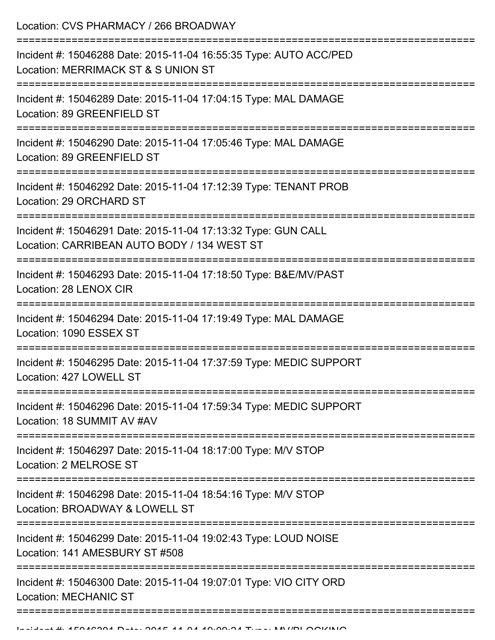Location: CVS PHARMACY / 266 BROADWAY

| Incident #: 15046288 Date: 2015-11-04 16:55:35 Type: AUTO ACC/PED<br>Location: MERRIMACK ST & S UNION ST                      |
|-------------------------------------------------------------------------------------------------------------------------------|
| Incident #: 15046289 Date: 2015-11-04 17:04:15 Type: MAL DAMAGE<br>Location: 89 GREENFIELD ST                                 |
| Incident #: 15046290 Date: 2015-11-04 17:05:46 Type: MAL DAMAGE<br>Location: 89 GREENFIELD ST                                 |
| Incident #: 15046292 Date: 2015-11-04 17:12:39 Type: TENANT PROB<br>Location: 29 ORCHARD ST                                   |
| Incident #: 15046291 Date: 2015-11-04 17:13:32 Type: GUN CALL<br>Location: CARRIBEAN AUTO BODY / 134 WEST ST                  |
| Incident #: 15046293 Date: 2015-11-04 17:18:50 Type: B&E/MV/PAST<br>Location: 28 LENOX CIR<br>=============================== |
| Incident #: 15046294 Date: 2015-11-04 17:19:49 Type: MAL DAMAGE<br>Location: 1090 ESSEX ST                                    |
| Incident #: 15046295 Date: 2015-11-04 17:37:59 Type: MEDIC SUPPORT<br>Location: 427 LOWELL ST                                 |
| Incident #: 15046296 Date: 2015-11-04 17:59:34 Type: MEDIC SUPPORT<br>Location: 18 SUMMIT AV #AV                              |
| Incident #: 15046297 Date: 2015-11-04 18:17:00 Type: M/V STOP<br>Location: 2 MELROSE ST                                       |
| Incident #: 15046298 Date: 2015-11-04 18:54:16 Type: M/V STOP<br>Location: BROADWAY & LOWELL ST                               |
| Incident #: 15046299 Date: 2015-11-04 19:02:43 Type: LOUD NOISE<br>Location: 141 AMESBURY ST #508                             |
| Incident #: 15046300 Date: 2015-11-04 19:07:01 Type: VIO CITY ORD<br><b>Location: MECHANIC ST</b>                             |
|                                                                                                                               |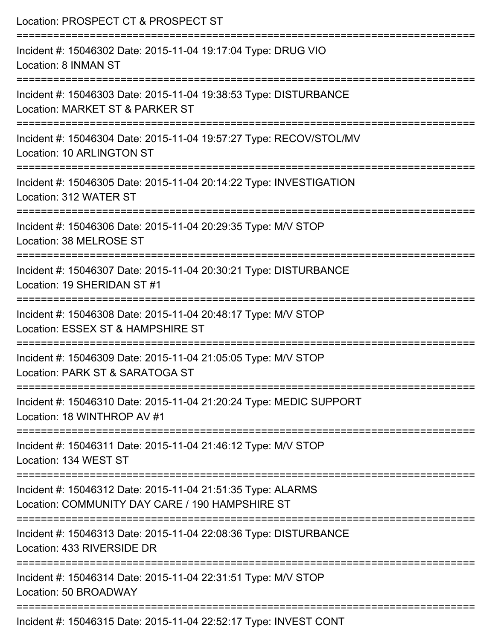| Location: PROSPECT CT & PROSPECT ST                                                                            |
|----------------------------------------------------------------------------------------------------------------|
| Incident #: 15046302 Date: 2015-11-04 19:17:04 Type: DRUG VIO<br>Location: 8 INMAN ST                          |
| Incident #: 15046303 Date: 2015-11-04 19:38:53 Type: DISTURBANCE<br>Location: MARKET ST & PARKER ST            |
| Incident #: 15046304 Date: 2015-11-04 19:57:27 Type: RECOV/STOL/MV<br><b>Location: 10 ARLINGTON ST</b>         |
| Incident #: 15046305 Date: 2015-11-04 20:14:22 Type: INVESTIGATION<br>Location: 312 WATER ST                   |
| Incident #: 15046306 Date: 2015-11-04 20:29:35 Type: M/V STOP<br>Location: 38 MELROSE ST                       |
| Incident #: 15046307 Date: 2015-11-04 20:30:21 Type: DISTURBANCE<br>Location: 19 SHERIDAN ST #1                |
| Incident #: 15046308 Date: 2015-11-04 20:48:17 Type: M/V STOP<br>Location: ESSEX ST & HAMPSHIRE ST             |
| Incident #: 15046309 Date: 2015-11-04 21:05:05 Type: M/V STOP<br>Location: PARK ST & SARATOGA ST               |
| Incident #: 15046310 Date: 2015-11-04 21:20:24 Type: MEDIC SUPPORT<br>Location: 18 WINTHROP AV #1              |
| Incident #: 15046311 Date: 2015-11-04 21:46:12 Type: M/V STOP<br>Location: 134 WEST ST                         |
| Incident #: 15046312 Date: 2015-11-04 21:51:35 Type: ALARMS<br>Location: COMMUNITY DAY CARE / 190 HAMPSHIRE ST |
| Incident #: 15046313 Date: 2015-11-04 22:08:36 Type: DISTURBANCE<br>Location: 433 RIVERSIDE DR                 |
| Incident #: 15046314 Date: 2015-11-04 22:31:51 Type: M/V STOP<br>Location: 50 BROADWAY                         |
| Incident #: 15046315 Date: 2015-11-04 22:52:17 Type: INVEST CONT                                               |